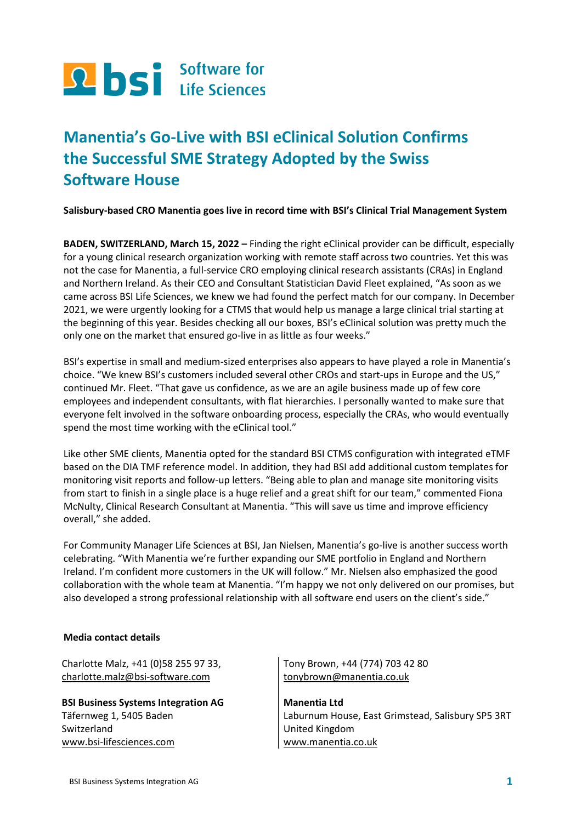

## **Manentia's Go-Live with BSI eClinical Solution Confirms the Successful SME Strategy Adopted by the Swiss Software House**

**Salisbury-based CRO Manentia goes live in record time with BSI's Clinical Trial Management System**

**BADEN, SWITZERLAND, March 15, 2022 –** Finding the right eClinical provider can be difficult, especially for a young clinical research organization working with remote staff across two countries. Yet this was not the case for Manentia, a full-service CRO employing clinical research assistants (CRAs) in England and Northern Ireland. As their CEO and Consultant Statistician David Fleet explained, "As soon as we came across BSI Life Sciences, we knew we had found the perfect match for our company. In December 2021, we were urgently looking for a CTMS that would help us manage a large clinical trial starting at the beginning of this year. Besides checking all our boxes, BSI's eClinical solution was pretty much the only one on the market that ensured go-live in as little as four weeks."

BSI's expertise in small and medium-sized enterprises also appears to have played a role in Manentia's choice. "We knew BSI's customers included several other CROs and start-ups in Europe and the US," continued Mr. Fleet. "That gave us confidence, as we are an agile business made up of few core employees and independent consultants, with flat hierarchies. I personally wanted to make sure that everyone felt involved in the software onboarding process, especially the CRAs, who would eventually spend the most time working with the eClinical tool."

Like other SME clients, Manentia opted for the standard BSI CTMS configuration with integrated eTMF based on the DIA TMF reference model. In addition, they had BSI add additional custom templates for monitoring visit reports and follow-up letters. "Being able to plan and manage site monitoring visits from start to finish in a single place is a huge relief and a great shift for our team," commented Fiona McNulty, Clinical Research Consultant at Manentia. "This will save us time and improve efficiency overall," she added.

For Community Manager Life Sciences at BSI, Jan Nielsen, Manentia's go-live is another success worth celebrating. "With Manentia we're further expanding our SME portfolio in England and Northern Ireland. I'm confident more customers in the UK will follow." Mr. Nielsen also emphasized the good collaboration with the whole team at Manentia. "I'm happy we not only delivered on our promises, but also developed a strong professional relationship with all software end users on the client's side."

## **Media contact details**

Charlotte Malz, +41 (0)58 255 97 33, [charlotte.malz@bsi-software.com](mailto:catherine.crowden@bsiag.com)

**BSI Business Systems Integration AG**  Täfernweg 1, 5405 Baden Switzerland [www.bsi-lifesciences.com](http://www.bsi-lifesciences.com/)

Tony Brown, +44 (774) 703 42 80 [tonybrown@manentia.co.uk](mailto:tonybrown@manentia.co.uk)

**Manentia Ltd** Laburnum House, East Grimstead, Salisbury SP5 3RT United Kingdom [www.manentia.co.uk](http://www.manentia.co.uk/)